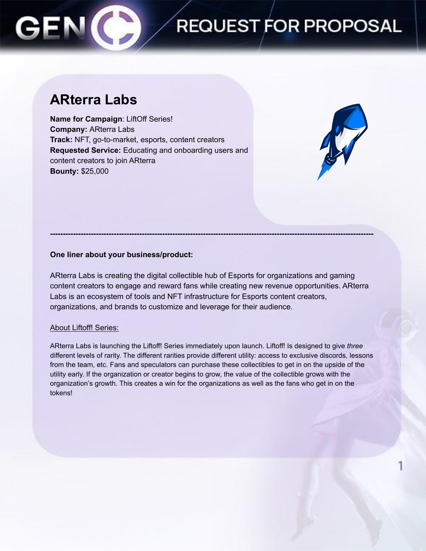### **REQUEST FOR PROPOSAL**

### **ARterra Labs**

**Name for Campaign**: LiftOff Series! **Company:** ARterra Labs **Track:** NFT, go-to-market, esports, content creators **Requested Service:** Educating and onboarding users and content creators to join ARterra **Bounty:** \$25,000



### **One liner about your business/product:**

ARterra Labs is creating the digital collectible hub of Esports for organizations and gaming content creators to engage and reward fans while creating new revenue opportunities. ARterra Labs is an ecosystem of tools and NFT infrastructure for Esports content creators, organizations, and brands to customize and leverage for their audience.

**-------------------------------------------------------------------------------------------------------------------------------**

### About Liftoff! Series:

ARterra Labs is launching the Liftoff! Series immediately upon launch. Liftoff! Is designed to give *three* different levels of rarity. The different rarities provide different utility: access to exclusive discords, lessons from the team, etc. Fans and speculators can purchase these collectibles to get in on the upside of the utility early. If the organization or creator begins to grow, the value of the collectible grows with the organization's growth. This creates a win for the organizations as well as the fans who get in on the tokens!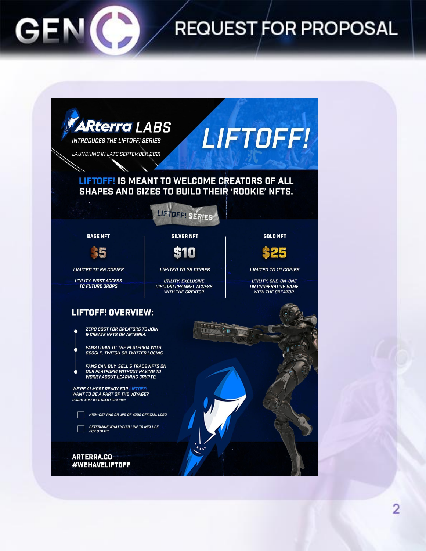# **REQUEST FOR PROPOSAL**



GEN

2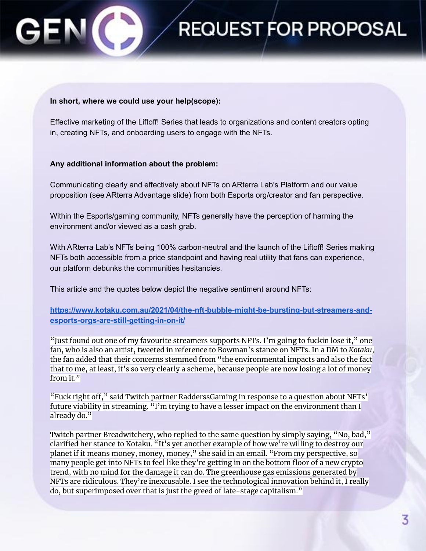### **In short, where we could use your help(scope):**

Effective marketing of the Liftoff! Series that leads to organizations and content creators opting in, creating NFTs, and onboarding users to engage with the NFTs.

**REQUEST FOR PROPOSAL** 

#### **Any additional information about the problem:**

Communicating clearly and effectively about NFTs on ARterra Lab's Platform and our value proposition (see ARterra Advantage slide) from both Esports org/creator and fan perspective.

Within the Esports/gaming community, NFTs generally have the perception of harming the environment and/or viewed as a cash grab.

With ARterra Lab's NFTs being 100% carbon-neutral and the launch of the Liftoff! Series making NFTs both accessible from a price standpoint and having real utility that fans can experience, our platform debunks the communities hesitancies.

This article and the quotes below depict the negative sentiment around NFTs:

**[https://www.kotaku.com.au/2021/04/the-nft-bubble-might-be-bursting-but-streamers-and](https://www.kotaku.com.au/2021/04/the-nft-bubble-might-be-bursting-but-streamers-and-esports-orgs-are-still-getting-in-on-it/)[esports-orgs-are-still-getting-in-on-it/](https://www.kotaku.com.au/2021/04/the-nft-bubble-might-be-bursting-but-streamers-and-esports-orgs-are-still-getting-in-on-it/)**

"Just found out one of my favourite streamers supports NFTs. I'm going to fuckin lose it," one fan, who is also an artist, [tweeted](https://twitter.com/DrSpooksArt/status/1379803429690880001) in reference to Bowman's stance on NFTs. In a DM to *Kotaku*, the fan added that their concerns stemmed from "the environmental impacts and also the fact that to me, at least, it's so very clearly a scheme, because people are now losing a lot of money from it."

"Fuck right off," said Twitch partner RadderssGaming in response to a question about NFTs' future viability in streaming. "I'm trying to have a lesser impact on the environment than I already do."

Twitch partner Breadwitchery, who replied to the same question by simply saying, "No, bad," clarified her stance to Kotaku. "It's yet another example of how we're willing to destroy our planet if it means money, money, money," she said in an email. "From my perspective, so many people get into NFTs to feel like they're getting in on the bottom floor of a new crypto trend, with no mind for the damage it can do. The greenhouse gas emissions generated by NFTs are ridiculous. They're inexcusable. I see the technological innovation behind it, I really do, but superimposed over that is just the greed of late-stage capitalism."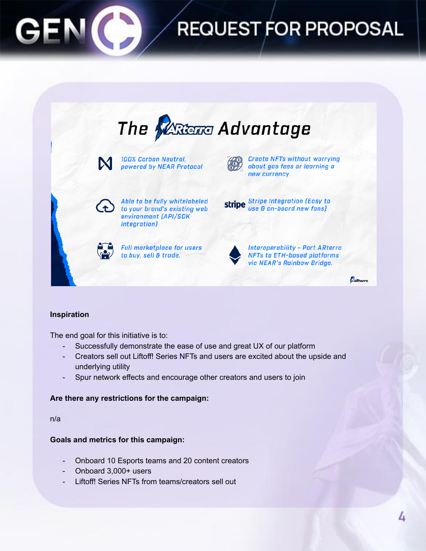

# **REQUEST FOR PROPOSAL**



### **Inspiration**

The end goal for this initiative is to:

- Successfully demonstrate the ease of use and great UX of our platform
- Creators sell out Liftoff! Series NFTs and users are excited about the upside and underlying utility
- Spur network effects and encourage other creators and users to join

### **Are there any restrictions for the campaign:**

n/a

### **Goals and metrics for this campaign:**

- Onboard 10 Esports teams and 20 content creators
- Onboard 3,000+ users
- Liftoff! Series NFTs from teams/creators sell out